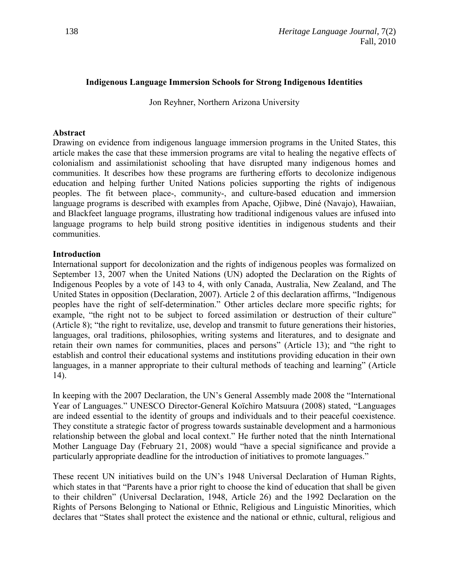### **Indigenous Language Immersion Schools for Strong Indigenous Identities**

Jon Reyhner, Northern Arizona University

### **Abstract**

Drawing on evidence from indigenous language immersion programs in the United States, this article makes the case that these immersion programs are vital to healing the negative effects of colonialism and assimilationist schooling that have disrupted many indigenous homes and communities. It describes how these programs are furthering efforts to decolonize indigenous education and helping further United Nations policies supporting the rights of indigenous peoples. The fit between place-, community-, and culture-based education and immersion language programs is described with examples from Apache, Ojibwe, Diné (Navajo), Hawaiian, and Blackfeet language programs, illustrating how traditional indigenous values are infused into language programs to help build strong positive identities in indigenous students and their communities.

### **Introduction**

International support for decolonization and the rights of indigenous peoples was formalized on September 13, 2007 when the United Nations (UN) adopted the Declaration on the Rights of Indigenous Peoples by a vote of 143 to 4, with only Canada, Australia, New Zealand, and The United States in opposition (Declaration, 2007). Article 2 of this declaration affirms, "Indigenous peoples have the right of self-determination." Other articles declare more specific rights; for example, "the right not to be subject to forced assimilation or destruction of their culture" (Article 8); "the right to revitalize, use, develop and transmit to future generations their histories, languages, oral traditions, philosophies, writing systems and literatures, and to designate and retain their own names for communities, places and persons" (Article 13); and "the right to establish and control their educational systems and institutions providing education in their own languages, in a manner appropriate to their cultural methods of teaching and learning" (Article 14).

In keeping with the 2007 Declaration, the UN's General Assembly made 2008 the "International" Year of Languages." UNESCO Director-General Koïchiro Matsuura (2008) stated, "Languages are indeed essential to the identity of groups and individuals and to their peaceful coexistence. They constitute a strategic factor of progress towards sustainable development and a harmonious relationship between the global and local context." He further noted that the ninth International Mother Language Day (February 21, 2008) would "have a special significance and provide a particularly appropriate deadline for the introduction of initiatives to promote languages."

These recent UN initiatives build on the UN"s 1948 Universal Declaration of Human Rights, which states in that "Parents have a prior right to choose the kind of education that shall be given to their children" (Universal Declaration, 1948, Article 26) and the 1992 Declaration on the Rights of Persons Belonging to National or Ethnic, Religious and Linguistic Minorities, which declares that "States shall protect the existence and the national or ethnic, cultural, religious and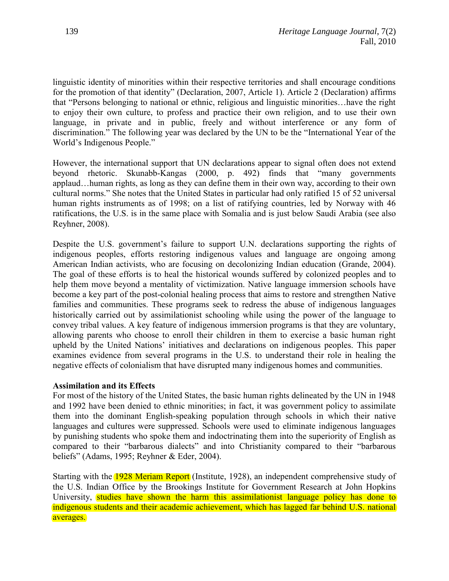linguistic identity of minorities within their respective territories and shall encourage conditions for the promotion of that identity" (Declaration, 2007, Article 1). Article 2 (Declaration) affirms that "Persons belonging to national or ethnic, religious and linguistic minorities…have the right to enjoy their own culture, to profess and practice their own religion, and to use their own language, in private and in public, freely and without interference or any form of discrimination." The following year was declared by the UN to be the "International Year of the World"s Indigenous People."

However, the international support that UN declarations appear to signal often does not extend beyond rhetoric. Skunabb-Kangas (2000, p. 492) finds that "many governments applaud…human rights, as long as they can define them in their own way, according to their own cultural norms." She notes that the United States in particular had only ratified 15 of 52 universal human rights instruments as of 1998; on a list of ratifying countries, led by Norway with 46 ratifications, the U.S. is in the same place with Somalia and is just below Saudi Arabia (see also Reyhner, 2008).

Despite the U.S. government's failure to support U.N. declarations supporting the rights of indigenous peoples, efforts restoring indigenous values and language are ongoing among American Indian activists, who are focusing on decolonizing Indian education (Grande, 2004). The goal of these efforts is to heal the historical wounds suffered by colonized peoples and to help them move beyond a mentality of victimization. Native language immersion schools have become a key part of the post-colonial healing process that aims to restore and strengthen Native families and communities. These programs seek to redress the abuse of indigenous languages historically carried out by assimilationist schooling while using the power of the language to convey tribal values. A key feature of indigenous immersion programs is that they are voluntary, allowing parents who choose to enroll their children in them to exercise a basic human right upheld by the United Nations" initiatives and declarations on indigenous peoples. This paper examines evidence from several programs in the U.S. to understand their role in healing the negative effects of colonialism that have disrupted many indigenous homes and communities.

### **Assimilation and its Effects**

For most of the history of the United States, the basic human rights delineated by the UN in 1948 and 1992 have been denied to ethnic minorities; in fact, it was government policy to assimilate them into the dominant English-speaking population through schools in which their native languages and cultures were suppressed. Schools were used to eliminate indigenous languages by punishing students who spoke them and indoctrinating them into the superiority of English as compared to their "barbarous dialects" and into Christianity compared to their "barbarous beliefs" (Adams, 1995; Reyhner & Eder, 2004).

Starting with the 1928 Meriam Report (Institute, 1928), an independent comprehensive study of the U.S. Indian Office by the Brookings Institute for Government Research at John Hopkins University, studies have shown the harm this assimilationist language policy has done to indigenous students and their academic achievement, which has lagged far behind U.S. national averages.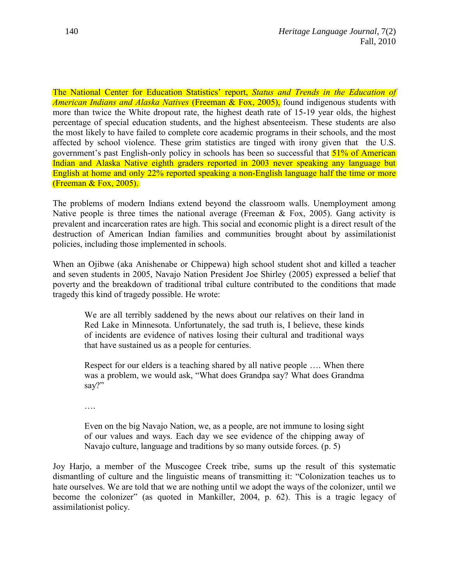The National Center for Education Statistics" report, *Status and Trends in the Education of American Indians and Alaska Natives* (Freeman & Fox, 2005), found indigenous students with more than twice the White dropout rate, the highest death rate of 15-19 year olds, the highest percentage of special education students, and the highest absenteeism. These students are also the most likely to have failed to complete core academic programs in their schools, and the most affected by school violence. These grim statistics are tinged with irony given that the U.S. government's past English-only policy in schools has been so successful that  $51\%$  of American Indian and Alaska Native eighth graders reported in 2003 never speaking any language but English at home and only 22% reported speaking a non-English language half the time or more (Freeman & Fox, 2005).

The problems of modern Indians extend beyond the classroom walls. Unemployment among Native people is three times the national average (Freeman  $\&$  Fox, 2005). Gang activity is prevalent and incarceration rates are high. This social and economic plight is a direct result of the destruction of American Indian families and communities brought about by assimilationist policies, including those implemented in schools.

When an Ojibwe (aka Anishenabe or Chippewa) high school student shot and killed a teacher and seven students in 2005, Navajo Nation President Joe Shirley (2005) expressed a belief that poverty and the breakdown of traditional tribal culture contributed to the conditions that made tragedy this kind of tragedy possible. He wrote:

We are all terribly saddened by the news about our relatives on their land in Red Lake in Minnesota. Unfortunately, the sad truth is, I believe, these kinds of incidents are evidence of natives losing their cultural and traditional ways that have sustained us as a people for centuries.

Respect for our elders is a teaching shared by all native people …. When there was a problem, we would ask, "What does Grandpa say? What does Grandma say?"

….

Even on the big Navajo Nation, we, as a people, are not immune to losing sight of our values and ways. Each day we see evidence of the chipping away of Navajo culture, language and traditions by so many outside forces. (p. 5)

Joy Harjo, a member of the Muscogee Creek tribe, sums up the result of this systematic dismantling of culture and the linguistic means of transmitting it: "Colonization teaches us to hate ourselves. We are told that we are nothing until we adopt the ways of the colonizer, until we become the colonizer" (as quoted in Mankiller, 2004, p. 62). This is a tragic legacy of assimilationist policy.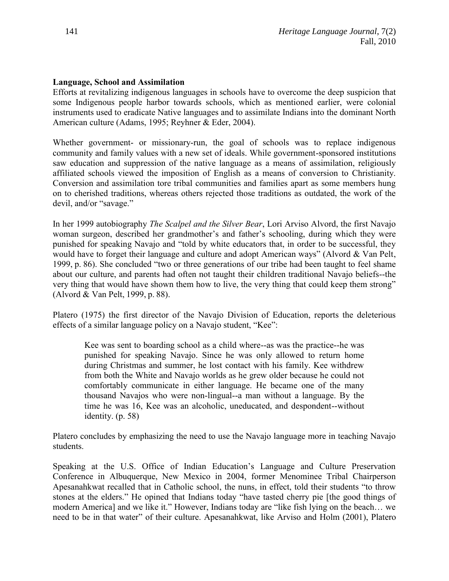### **Language, School and Assimilation**

Efforts at revitalizing indigenous languages in schools have to overcome the deep suspicion that some Indigenous people harbor towards schools, which as mentioned earlier, were colonial instruments used to eradicate Native languages and to assimilate Indians into the dominant North American culture (Adams, 1995; Reyhner & Eder, 2004).

Whether government- or missionary-run, the goal of schools was to replace indigenous community and family values with a new set of ideals. While government-sponsored institutions saw education and suppression of the native language as a means of assimilation, religiously affiliated schools viewed the imposition of English as a means of conversion to Christianity. Conversion and assimilation tore tribal communities and families apart as some members hung on to cherished traditions, whereas others rejected those traditions as outdated, the work of the devil, and/or "savage."

In her 1999 autobiography *The Scalpel and the Silver Bear*, Lori Arviso Alvord, the first Navajo woman surgeon, described her grandmother's and father's schooling, during which they were punished for speaking Navajo and "told by white educators that, in order to be successful, they would have to forget their language and culture and adopt American ways" (Alvord & Van Pelt, 1999, p. 86). She concluded "two or three generations of our tribe had been taught to feel shame about our culture, and parents had often not taught their children traditional Navajo beliefs--the very thing that would have shown them how to live, the very thing that could keep them strong" (Alvord & Van Pelt, 1999, p. 88).

Platero (1975) the first director of the Navajo Division of Education, reports the deleterious effects of a similar language policy on a Navajo student, "Kee":

Kee was sent to boarding school as a child where--as was the practice--he was punished for speaking Navajo. Since he was only allowed to return home during Christmas and summer, he lost contact with his family. Kee withdrew from both the White and Navajo worlds as he grew older because he could not comfortably communicate in either language. He became one of the many thousand Navajos who were non-lingual--a man without a language. By the time he was 16, Kee was an alcoholic, uneducated, and despondent--without identity. (p. 58)

Platero concludes by emphasizing the need to use the Navajo language more in teaching Navajo students.

Speaking at the U.S. Office of Indian Education"s Language and Culture Preservation Conference in Albuquerque, New Mexico in 2004, former Menominee Tribal Chairperson Apesanahkwat recalled that in Catholic school, the nuns, in effect, told their students "to throw stones at the elders." He opined that Indians today "have tasted cherry pie [the good things of modern America] and we like it." However, Indians today are "like fish lying on the beach… we need to be in that water" of their culture. Apesanahkwat, like Arviso and Holm (2001), Platero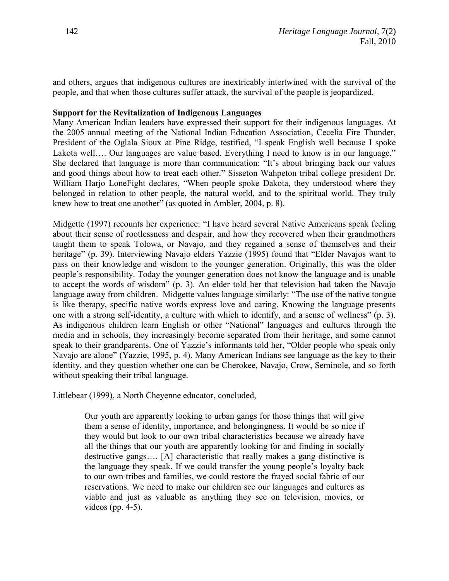and others, argues that indigenous cultures are inextricably intertwined with the survival of the people, and that when those cultures suffer attack, the survival of the people is jeopardized.

### **Support for the Revitalization of Indigenous Languages**

Many American Indian leaders have expressed their support for their indigenous languages. At the 2005 annual meeting of the National Indian Education Association, Cecelia Fire Thunder, President of the Oglala Sioux at Pine Ridge, testified, "I speak English well because I spoke Lakota well.... Our languages are value based. Everything I need to know is in our language." She declared that language is more than communication: "It's about bringing back our values and good things about how to treat each other." Sisseton Wahpeton tribal college president Dr. William Harjo LoneFight declares, "When people spoke Dakota, they understood where they belonged in relation to other people, the natural world, and to the spiritual world. They truly knew how to treat one another" (as quoted in Ambler, 2004, p. 8).

Midgette (1997) recounts her experience: "I have heard several Native Americans speak feeling about their sense of rootlessness and despair, and how they recovered when their grandmothers taught them to speak Tolowa, or Navajo, and they regained a sense of themselves and their heritage" (p. 39). Interviewing Navajo elders Yazzie (1995) found that "Elder Navajos want to pass on their knowledge and wisdom to the younger generation. Originally, this was the older people"s responsibility. Today the younger generation does not know the language and is unable to accept the words of wisdom" (p. 3). An elder told her that television had taken the Navajo language away from children. Midgette values language similarly: "The use of the native tongue is like therapy, specific native words express love and caring. Knowing the language presents one with a strong self-identity, a culture with which to identify, and a sense of wellness" (p. 3). As indigenous children learn English or other "National" languages and cultures through the media and in schools, they increasingly become separated from their heritage, and some cannot speak to their grandparents. One of Yazzie"s informants told her, "Older people who speak only Navajo are alone" (Yazzie, 1995, p. 4). Many American Indians see language as the key to their identity, and they question whether one can be Cherokee, Navajo, Crow, Seminole, and so forth without speaking their tribal language.

Littlebear (1999), a North Cheyenne educator, concluded,

Our youth are apparently looking to urban gangs for those things that will give them a sense of identity, importance, and belongingness. It would be so nice if they would but look to our own tribal characteristics because we already have all the things that our youth are apparently looking for and finding in socially destructive gangs…. [A] characteristic that really makes a gang distinctive is the language they speak. If we could transfer the young people"s loyalty back to our own tribes and families, we could restore the frayed social fabric of our reservations. We need to make our children see our languages and cultures as viable and just as valuable as anything they see on television, movies, or videos (pp. 4-5).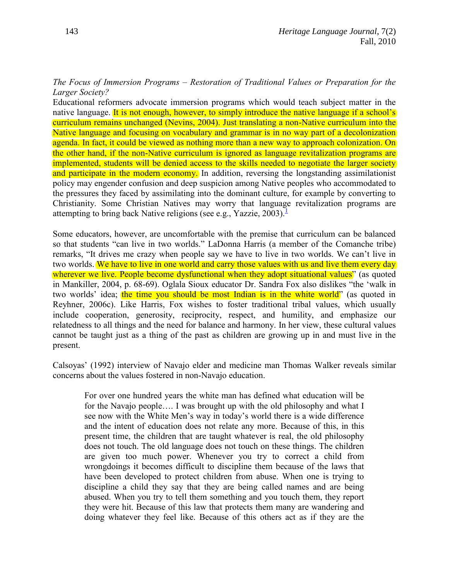## *The Focus of Immersion Programs – Restoration of Traditional Values or Preparation for the Larger Society?*

Educational reformers advocate immersion programs which would teach subject matter in the native language. It is not enough, however, to simply introduce the native language if a school's curriculum remains unchanged (Nevins, 2004). Just translating a non-Native curriculum into the Native language and focusing on vocabulary and grammar is in no way part of a decolonization agenda. In fact, it could be viewed as nothing more than a new way to approach colonization. On the other hand, if the non-Native curriculum is ignored as language revitalization programs are implemented, students will be denied access to the skills needed to negotiate the larger society and participate in the modern economy. In addition, reversing the longstanding assimilationist policy may engender confusion and deep suspicion among Native peoples who accommodated to the pressures they faced by assimilating into the dominant culture, for example by converting to Christianity. Some Christian Natives may worry that language revitalization programs are attempting to bring back Native religions (see e[.](#page-14-0)g., Yazzie,  $2003$ ).<sup>1</sup>

<span id="page-5-0"></span>Some educators, however, are uncomfortable with the premise that curriculum can be balanced so that students "can live in two worlds." LaDonna Harris (a member of the Comanche tribe) remarks, "It drives me crazy when people say we have to live in two worlds. We can"t live in two worlds. We have to live in one world and carry those values with us and live them every day wherever we live. People become dysfunctional when they adopt situational values" (as quoted in Mankiller, 2004, p. 68-69). Oglala Sioux educator Dr. Sandra Fox also dislikes "the "walk in two worlds' idea; the time you should be most Indian is in the white world" (as quoted in Reyhner, 2006c). Like Harris, Fox wishes to foster traditional tribal values, which usually include cooperation, generosity, reciprocity, respect, and humility, and emphasize our relatedness to all things and the need for balance and harmony. In her view, these cultural values cannot be taught just as a thing of the past as children are growing up in and must live in the present.

Calsoyas" (1992) interview of Navajo elder and medicine man Thomas Walker reveals similar concerns about the values fostered in non-Navajo education.

For over one hundred years the white man has defined what education will be for the Navajo people…. I was brought up with the old philosophy and what I see now with the White Men"s way in today"s world there is a wide difference and the intent of education does not relate any more. Because of this, in this present time, the children that are taught whatever is real, the old philosophy does not touch. The old language does not touch on these things. The children are given too much power. Whenever you try to correct a child from wrongdoings it becomes difficult to discipline them because of the laws that have been developed to protect children from abuse. When one is trying to discipline a child they say that they are being called names and are being abused. When you try to tell them something and you touch them, they report they were hit. Because of this law that protects them many are wandering and doing whatever they feel like. Because of this others act as if they are the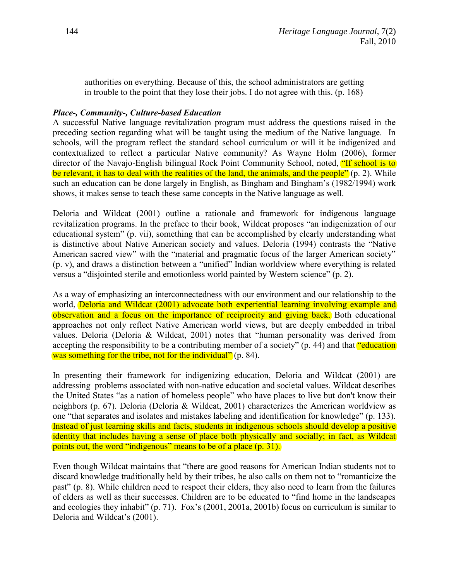authorities on everything. Because of this, the school administrators are getting in trouble to the point that they lose their jobs. I do not agree with this. (p. 168)

### *Place-, Community-, Culture-based Education*

A successful Native language revitalization program must address the questions raised in the preceding section regarding what will be taught using the medium of the Native language. In schools, will the program reflect the standard school curriculum or will it be indigenized and contextualized to reflect a particular Native community? As Wayne Holm (2006), former director of the Navajo-English bilingual Rock Point Community School, noted, "If school is to be relevant, it has to deal with the realities of the land, the animals, and the people" (p. 2). While such an education can be done largely in English, as Bingham and Bingham"s (1982/1994) work shows, it makes sense to teach these same concepts in the Native language as well.

Deloria and Wildcat (2001) outline a rationale and framework for indigenous language revitalization programs. In the preface to their book, Wildcat proposes "an indigenization of our educational system" (p. vii), something that can be accomplished by clearly understanding what is distinctive about Native American society and values. Deloria (1994) contrasts the "Native American sacred view" with the "material and pragmatic focus of the larger American society" (p. v), and draws a distinction between a "unified" Indian worldview where everything is related versus a "disjointed sterile and emotionless world painted by Western science" (p. 2).

As a way of emphasizing an interconnectedness with our environment and our relationship to the world, **Deloria and Wildcat (2001) advocate both experiential learning involving example and** observation and a focus on the importance of reciprocity and giving back. Both educational approaches not only reflect Native American world views, but are deeply embedded in tribal values. Deloria (Deloria & Wildcat, 2001) notes that "human personality was derived from accepting the responsibility to be a contributing member of a society" (p. 44) and that "education was something for the tribe, not for the individual" (p. 84).

In presenting their framework for indigenizing education, Deloria and Wildcat (2001) are addressing problems associated with non-native education and societal values. Wildcat describes the United States "as a nation of homeless people" who have places to live but don't know their neighbors (p. 67). Deloria (Deloria & Wildcat, 2001) characterizes the American worldview as one "that separates and isolates and mistakes labeling and identification for knowledge" (p. 133). Instead of just learning skills and facts, students in indigenous schools should develop a positive identity that includes having a sense of place both physically and socially; in fact, as Wildcat points out, the word "indigenous" means to be of a place (p. 31).

Even though Wildcat maintains that "there are good reasons for American Indian students not to discard knowledge traditionally held by their tribes, he also calls on them not to "romanticize the past" (p. 8). While children need to respect their elders, they also need to learn from the failures of elders as well as their successes. Children are to be educated to "find home in the landscapes and ecologies they inhabit" (p. 71). Fox's (2001, 2001a, 2001b) focus on curriculum is similar to Deloria and Wildcat's (2001).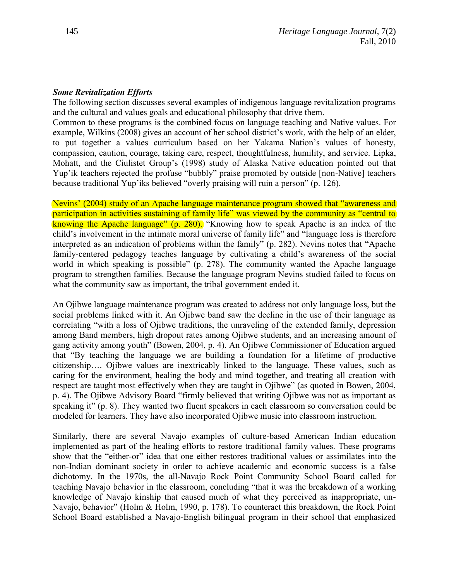### *Some Revitalization Efforts*

The following section discusses several examples of indigenous language revitalization programs and the cultural and values goals and educational philosophy that drive them.

Common to these programs is the combined focus on language teaching and Native values. For example, Wilkins (2008) gives an account of her school district's work, with the help of an elder, to put together a values curriculum based on her Yakama Nation"s values of honesty, compassion, caution, courage, taking care, respect, thoughtfulness, humility, and service. Lipka, Mohatt, and the Ciulistet Group"s (1998) study of Alaska Native education pointed out that Yup"ik teachers rejected the profuse "bubbly" praise promoted by outside [non-Native] teachers because traditional Yup"iks believed "overly praising will ruin a person" (p. 126).

Nevins" (2004) study of an Apache language maintenance program showed that "awareness and participation in activities sustaining of family life" was viewed by the community as "central to knowing the Apache language" (p. 280). "Knowing how to speak Apache is an index of the child"s involvement in the intimate moral universe of family life" and "language loss is therefore interpreted as an indication of problems within the family" (p. 282). Nevins notes that "Apache family-centered pedagogy teaches language by cultivating a child"s awareness of the social world in which speaking is possible" (p. 278). The community wanted the Apache language program to strengthen families. Because the language program Nevins studied failed to focus on what the community saw as important, the tribal government ended it.

An Ojibwe language maintenance program was created to address not only language loss, but the social problems linked with it. An Ojibwe band saw the decline in the use of their language as correlating "with a loss of Ojibwe traditions, the unraveling of the extended family, depression among Band members, high dropout rates among Ojibwe students, and an increasing amount of gang activity among youth" (Bowen, 2004, p. 4). An Ojibwe Commissioner of Education argued that "By teaching the language we are building a foundation for a lifetime of productive citizenship…. Ojibwe values are inextricably linked to the language. These values, such as caring for the environment, healing the body and mind together, and treating all creation with respect are taught most effectively when they are taught in Ojibwe" (as quoted in Bowen, 2004, p. 4). The Ojibwe Advisory Board "firmly believed that writing Ojibwe was not as important as speaking it" (p. 8). They wanted two fluent speakers in each classroom so conversation could be modeled for learners. They have also incorporated Ojibwe music into classroom instruction.

Similarly, there are several Navajo examples of culture-based American Indian education implemented as part of the healing efforts to restore traditional family values. These programs show that the "either-or" idea that one either restores traditional values or assimilates into the non-Indian dominant society in order to achieve academic and economic success is a false dichotomy. In the 1970s, the all-Navajo Rock Point Community School Board called for teaching Navajo behavior in the classroom, concluding "that it was the breakdown of a working knowledge of Navajo kinship that caused much of what they perceived as inappropriate, un-Navajo, behavior" (Holm & Holm, 1990, p. 178). To counteract this breakdown, the Rock Point School Board established a Navajo-English bilingual program in their school that emphasized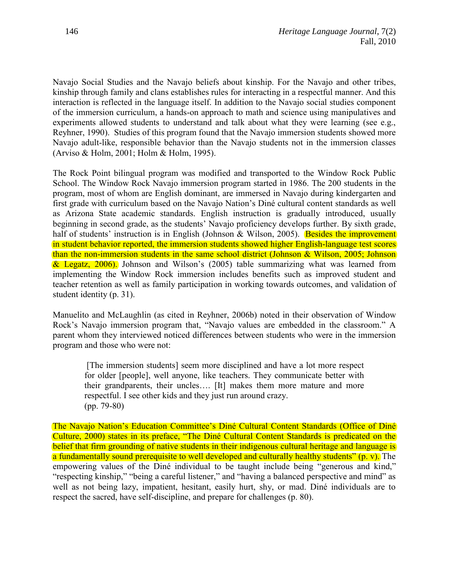Navajo Social Studies and the Navajo beliefs about kinship. For the Navajo and other tribes, kinship through family and clans establishes rules for interacting in a respectful manner. And this interaction is reflected in the language itself. In addition to the Navajo social studies component of the immersion curriculum, a hands-on approach to math and science using manipulatives and experiments allowed students to understand and talk about what they were learning (see e.g., Reyhner, 1990). Studies of this program found that the Navajo immersion students showed more Navajo adult-like, responsible behavior than the Navajo students not in the immersion classes (Arviso & Holm, 2001; Holm & Holm, 1995).

The Rock Point bilingual program was modified and transported to the Window Rock Public School. The Window Rock Navajo immersion program started in 1986. The 200 students in the program, most of whom are English dominant, are immersed in Navajo during kindergarten and first grade with curriculum based on the Navajo Nation"s Diné cultural content standards as well as Arizona State academic standards. English instruction is gradually introduced, usually beginning in second grade, as the students' Navajo proficiency develops further. By sixth grade, half of students' instruction is in English (Johnson & Wilson, 2005). Besides the improvement in student behavior reported, the immersion students showed higher English-language test scores than the non-immersion students in the same school district (Johnson & Wilson, 2005; Johnson & Legatz, 2006). Johnson and Wilson"s (2005) table summarizing what was learned from implementing the Window Rock immersion includes benefits such as improved student and teacher retention as well as family participation in working towards outcomes, and validation of student identity (p. 31).

Manuelito and McLaughlin (as cited in Reyhner, 2006b) noted in their observation of Window Rock"s Navajo immersion program that, "Navajo values are embedded in the classroom." A parent whom they interviewed noticed differences between students who were in the immersion program and those who were not:

[The immersion students] seem more disciplined and have a lot more respect for older [people], well anyone, like teachers. They communicate better with their grandparents, their uncles…. [It] makes them more mature and more respectful. I see other kids and they just run around crazy. (pp. 79-80)

The Navajo Nation"s Education Committee"s Diné Cultural Content Standards (Office of Diné Culture, 2000) states in its preface, "The Diné Cultural Content Standards is predicated on the belief that firm grounding of native students in their indigenous cultural heritage and language is a fundamentally sound prerequisite to well developed and culturally healthy students" (p. v). The empowering values of the Diné individual to be taught include being "generous and kind," "respecting kinship," "being a careful listener," and "having a balanced perspective and mind" as well as not being lazy, impatient, hesitant, easily hurt, shy, or mad. Diné individuals are to respect the sacred, have self-discipline, and prepare for challenges (p. 80).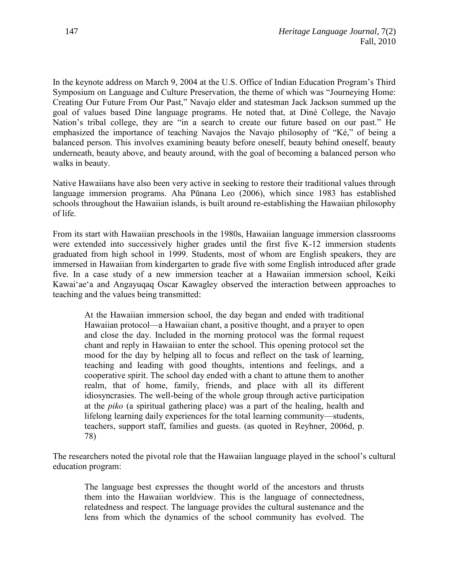In the keynote address on March 9, 2004 at the U.S. Office of Indian Education Program"s Third Symposium on Language and Culture Preservation, the theme of which was "Journeying Home: Creating Our Future From Our Past," Navajo elder and statesman Jack Jackson summed up the goal of values based Dine language programs. He noted that, at Diné College, the Navajo Nation's tribal college, they are "in a search to create our future based on our past." He emphasized the importance of teaching Navajos the Navajo philosophy of "Ké," of being a balanced person. This involves examining beauty before oneself, beauty behind oneself, beauty underneath, beauty above, and beauty around, with the goal of becoming a balanced person who walks in beauty.

Native Hawaiians have also been very active in seeking to restore their traditional values through language immersion programs. Aha Pūnana Leo (2006), which since 1983 has established schools throughout the Hawaiian islands, is built around re-establishing the Hawaiian philosophy of life.

From its start with Hawaiian preschools in the 1980s, Hawaiian language immersion classrooms were extended into successively higher grades until the first five K-12 immersion students graduated from high school in 1999. Students, most of whom are English speakers, they are immersed in Hawaiian from kindergarten to grade five with some English introduced after grade five. In a case study of a new immersion teacher at a Hawaiian immersion school, Keiki Kawaiʻaeʻa and Angayuqaq Oscar Kawagley observed the interaction between approaches to teaching and the values being transmitted:

At the Hawaiian immersion school, the day began and ended with traditional Hawaiian protocol—a Hawaiian chant, a positive thought, and a prayer to open and close the day. Included in the morning protocol was the formal request chant and reply in Hawaiian to enter the school. This opening protocol set the mood for the day by helping all to focus and reflect on the task of learning, teaching and leading with good thoughts, intentions and feelings, and a cooperative spirit. The school day ended with a chant to attune them to another realm, that of home, family, friends, and place with all its different idiosyncrasies. The well-being of the whole group through active participation at the *piko* (a spiritual gathering place) was a part of the healing, health and lifelong learning daily experiences for the total learning community—students, teachers, support staff, families and guests. (as quoted in Reyhner, 2006d, p. 78)

The researchers noted the pivotal role that the Hawaiian language played in the school"s cultural education program:

The language best expresses the thought world of the ancestors and thrusts them into the Hawaiian worldview. This is the language of connectedness, relatedness and respect. The language provides the cultural sustenance and the lens from which the dynamics of the school community has evolved. The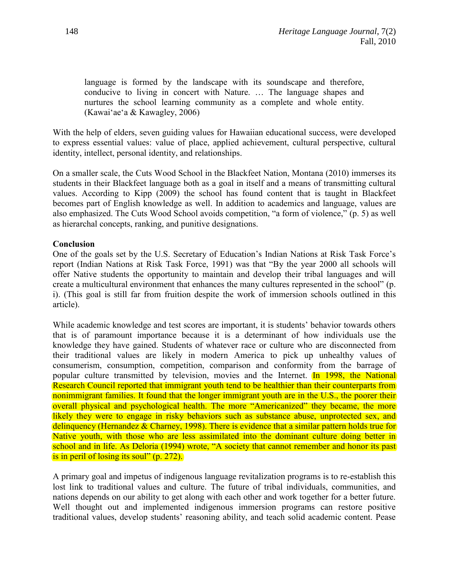language is formed by the landscape with its soundscape and therefore, conducive to living in concert with Nature. … The language shapes and nurtures the school learning community as a complete and whole entity. (Kawaiʻaeʻa & Kawagley, 2006)

With the help of elders, seven guiding values for Hawaiian educational success, were developed to express essential values: value of place, applied achievement, cultural perspective, cultural identity, intellect, personal identity, and relationships.

On a smaller scale, the Cuts Wood School in the Blackfeet Nation, Montana (2010) immerses its students in their Blackfeet language both as a goal in itself and a means of transmitting cultural values. According to Kipp (2009) the school has found content that is taught in Blackfeet becomes part of English knowledge as well. In addition to academics and language, values are also emphasized. The Cuts Wood School avoids competition, "a form of violence," (p. 5) as well as hierarchal concepts, ranking, and punitive designations.

### **Conclusion**

One of the goals set by the U.S. Secretary of Education"s Indian Nations at Risk Task Force"s report (Indian Nations at Risk Task Force, 1991) was that "By the year 2000 all schools will offer Native students the opportunity to maintain and develop their tribal languages and will create a multicultural environment that enhances the many cultures represented in the school" (p. i). (This goal is still far from fruition despite the work of immersion schools outlined in this article).

While academic knowledge and test scores are important, it is students' behavior towards others that is of paramount importance because it is a determinant of how individuals use the knowledge they have gained. Students of whatever race or culture who are disconnected from their traditional values are likely in modern America to pick up unhealthy values of consumerism, consumption, competition, comparison and conformity from the barrage of popular culture transmitted by television, movies and the Internet. In 1998, the National Research Council reported that immigrant youth tend to be healthier than their counterparts from nonimmigrant families. It found that the longer immigrant youth are in the U.S., the poorer their overall physical and psychological health. The more "Americanized" they became, the more likely they were to engage in risky behaviors such as substance abuse, unprotected sex, and delinquency (Hernandez & Charney, 1998). There is evidence that a similar pattern holds true for Native youth, with those who are less assimilated into the dominant culture doing better in school and in life. As Deloria (1994) wrote, "A society that cannot remember and honor its past is in peril of losing its soul" (p. 272).

A primary goal and impetus of indigenous language revitalization programs is to re-establish this lost link to traditional values and culture. The future of tribal individuals, communities, and nations depends on our ability to get along with each other and work together for a better future. Well thought out and implemented indigenous immersion programs can restore positive traditional values, develop students" reasoning ability, and teach solid academic content. Pease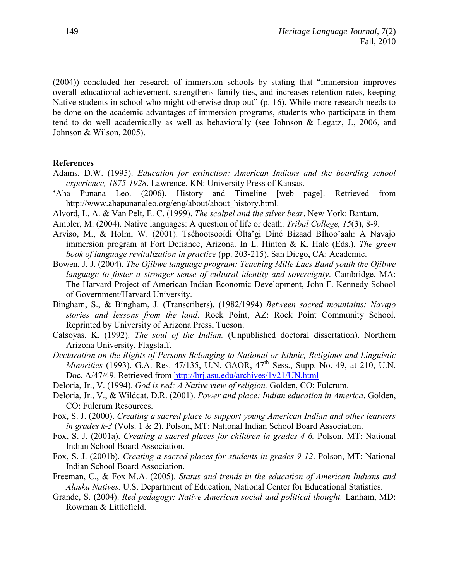(2004)) concluded her research of immersion schools by stating that "immersion improves overall educational achievement, strengthens family ties, and increases retention rates, keeping Native students in school who might otherwise drop out" (p. 16). While more research needs to be done on the academic advantages of immersion programs, students who participate in them tend to do well academically as well as behaviorally (see Johnson & Legatz, J., 2006, and Johnson & Wilson, 2005).

#### **References**

- Adams, D.W. (1995). *Education for extinction: American Indians and the boarding school experience, 1875-1928*. Lawrence, KN: University Press of Kansas.
- ʻAha Pūnana Leo. (2006). History and Timeline [web page]. Retrieved from http://www.ahapunanaleo.org/eng/about/about\_history.html.
- Alvord, L. A. & Van Pelt, E. C. (1999). *The scalpel and the silver bear*. New York: Bantam.
- Ambler, M. (2004). Native languages: A question of life or death. *Tribal College, 15*(3), 8-9.
- Arviso, M., & Holm, W. (2001). Tséhootsooídi Ólta"gi Diné Bizaad BÍhoo"aah: A Navajo immersion program at Fort Defiance, Arizona. In L. Hinton & K. Hale (Eds.), *The green book of language revitalization in practice* (pp. 203-215). San Diego, CA: Academic.
- Bowen, J. J. (2004). *The Ojibwe language program: Teaching Mille Lacs Band youth the Ojibwe language to foster a stronger sense of cultural identity and sovereignty*. Cambridge, MA: The Harvard Project of American Indian Economic Development, John F. Kennedy School of Government/Harvard University.
- Bingham, S., & Bingham, J. (Transcribers). (1982/1994) *Between sacred mountains: Navajo stories and lessons from the land*. Rock Point, AZ: Rock Point Community School. Reprinted by University of Arizona Press, Tucson.
- Calsoyas, K. (1992). *The soul of the Indian.* (Unpublished doctoral dissertation). Northern Arizona University, Flagstaff.
- *Declaration on the Rights of Persons Belonging to National or Ethnic, Religious and Linguistic Minorities* (1993). G.A. Res. 47/135, U.N. GAOR, 47<sup>th</sup> Sess., Supp. No. 49, at 210, U.N. Doc. A/47/49. Retrieved from<http://brj.asu.edu/archives/1v21/UN.html>
- Deloria, Jr., V. (1994). *God is red: A Native view of religion.* Golden, CO: Fulcrum.
- Deloria, Jr., V., & Wildcat, D.R. (2001). *Power and place: Indian education in America*. Golden, CO: Fulcrum Resources.
- Fox, S. J. (2000). *Creating a sacred place to support young American Indian and other learners in grades k-3* (Vols. 1 & 2). Polson, MT: National Indian School Board Association.
- Fox, S. J. (2001a). *Creating a sacred places for children in grades 4-6.* Polson, MT: National Indian School Board Association.
- Fox, S. J. (2001b). *Creating a sacred places for students in grades 9-12*. Polson, MT: National Indian School Board Association.
- Freeman, C., & Fox M.A. (2005). *Status and trends in the education of American Indians and Alaska Natives.* U.S. Department of Education, National Center for Educational Statistics.
- Grande, S. (2004). *Red pedagogy: Native American social and political thought.* Lanham, MD: Rowman & Littlefield.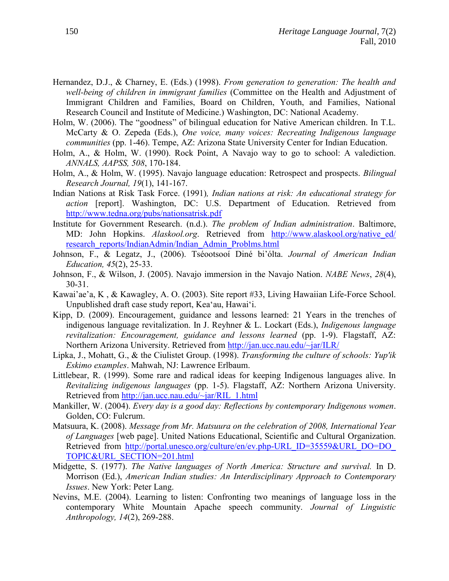- Hernandez, D.J., & Charney, E. (Eds.) (1998). *From generation to generation: The health and well-being of children in immigrant families* (Committee on the Health and Adjustment of Immigrant Children and Families, Board on Children, Youth, and Families, National Research Council and Institute of Medicine.) Washington, DC: National Academy.
- Holm, W. (2006). The "goodness" of bilingual education for Native American children. In T.L. McCarty & O. Zepeda (Eds.), *One voice, many voices: Recreating Indigenous language communities* (pp. 1-46). Tempe, AZ: Arizona State University Center for Indian Education.
- Holm, A., & Holm, W. (1990). Rock Point, A Navajo way to go to school: A valediction. *ANNALS, AAPSS, 508*, 170-184.
- Holm, A., & Holm, W. (1995). Navajo language education: Retrospect and prospects. *Bilingual Research Journal, 19*(1), 141-167.
- Indian Nations at Risk Task Force. (1991)*, Indian nations at risk: An educational strategy for action* [report]. Washington, DC: U.S. Department of Education. Retrieved from <http://www.tedna.org/pubs/nationsatrisk.pdf>
- Institute for Government Research. (n.d.). *The problem of Indian administration*. Baltimore, MD: John Hopkins. *Alaskool.org*. Retrieved from http://www.alaskool.org/native ed/ [research\\_reports/IndianAdmin/Indian\\_Admin\\_Problms.html](http://www.alaskool.org/native_ed/%20research_reports/IndianAdmin/Indian_Admin_Problms.html)
- Johnson, F., & Legatz, J., (2006). Tséootsooí Diné bi"ólta. *Journal of American Indian Education, 45*(2), 25-33.
- Johnson, F., & Wilson, J. (2005). Navajo immersion in the Navajo Nation. *NABE News*, *28*(4), 30-31.
- Kawai"ae"a, K , & Kawagley, A. O. (2003). Site report #33, Living Hawaiian Life-Force School. Unpublished draft case study report, Keaʻau, Hawaiʻi.
- Kipp, D. (2009). Encouragement, guidance and lessons learned: 21 Years in the trenches of indigenous language revitalization. In J. Reyhner & L. Lockart (Eds.), *Indigenous language revitalization: Encouragement, guidance and lessons learned* (pp. 1-9). Flagstaff, AZ: Northern Arizona University. Retrieved from<http://jan.ucc.nau.edu/~jar/ILR/>
- Lipka, J., Mohatt, G., & the Ciulistet Group. (1998). *Transforming the culture of schools: Yup'ik Eskimo examples*. Mahwah, NJ: Lawrence Erlbaum.
- Littlebear, R. (1999). Some rare and radical ideas for keeping Indigenous languages alive. In *Revitalizing indigenous languages* (pp. 1-5). Flagstaff, AZ: Northern Arizona University. Retrieved from [http://jan.ucc.nau.edu/~jar/RIL\\_1.html](http://jan.ucc.nau.edu/~jar/RIL_1.html)
- Mankiller, W. (2004). *Every day is a good day: Reflections by contemporary Indigenous women*. Golden, CO: Fulcrum.
- Matsuura, K. (2008). *Message from Mr. Matsuura on the celebration of 2008, International Year of Languages* [web page]. United Nations Educational, Scientific and Cultural Organization. Retrieved from [http://portal.unesco.org/culture/en/ev.php-URL\\_ID=35559&URL\\_DO=DO\\_](http://portal.unesco.org/culture/en/ev.php-URL_ID=35559&URL_DO=DO_%20TOPIC&URL_SECTION=201.html)  [TOPIC&URL\\_SECTION=201.html](http://portal.unesco.org/culture/en/ev.php-URL_ID=35559&URL_DO=DO_%20TOPIC&URL_SECTION=201.html)
- Midgette, S. (1977). *The Native languages of North America: Structure and survival.* In D. Morrison (Ed.), *American Indian studies: An Interdisciplinary Approach to Contemporary Issues*. New York: Peter Lang.
- Nevins, M.E. (2004). Learning to listen: Confronting two meanings of language loss in the contemporary White Mountain Apache speech community. *Journal of Linguistic Anthropology, 14*(2), 269-288.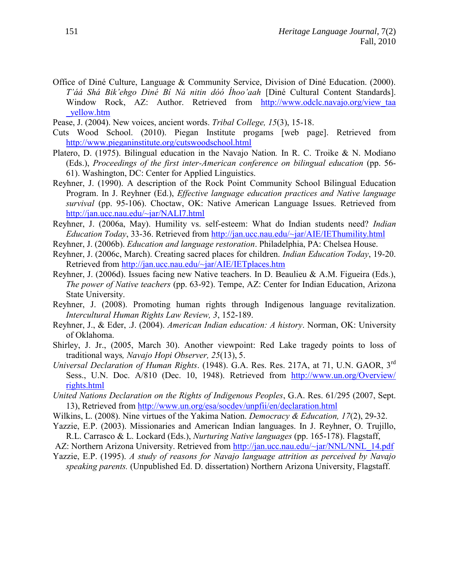- Office of Diné Culture, Language & Community Service, Division of Diné Education. (2000). *T'áá Shá Bik'ehgo Diné Bí Ná nitin dóó Íhoo'aah* [Diné Cultural Content Standards]. Window Rock, AZ: Author. Retrieved from http://www.odclc.navajo.org/view taa [\\_yellow.htm](http://www.odclc.navajo.org/view_taa%20_yellow.htm)
- Pease, J. (2004). New voices, ancient words. *Tribal College, 15*(3), 15-18.
- Cuts Wood School. (2010). Piegan Institute progams [web page]. Retrieved from <http://www.pieganinstitute.org/cutswoodschool.html>
- Platero, D. (1975). Bilingual education in the Navajo Nation*.* In R. C. Troike & N. Modiano (Eds.), *Proceedings of the first inter-American conference on bilingual education* (pp. 56- 61). Washington, DC: Center for Applied Linguistics.
- Reyhner, J. (1990). A description of the Rock Point Community School Bilingual Education Program. In J. Reyhner (Ed.), *Effective language education practices and Native language survival* (pp. 95-106). Choctaw, OK: Native American Language Issues. Retrieved from <http://jan.ucc.nau.edu/~jar/NALI7.html>
- Reyhner, J. (2006a, May). Humility vs. self-esteem: What do Indian students need? *Indian Education Today*, 33-36. Retrieved from<http://jan.ucc.nau.edu/~jar/AIE/IEThumility.html>
- Reyhner, J. (2006b). *Education and language restoration*. Philadelphia, PA: Chelsea House.
- Reyhner, J. (2006c, March). Creating sacred places for children. *Indian Education Today*, 19-20. Retrieved from<http://jan.ucc.nau.edu/~jar/AIE/IETplaces.htm>
- Reyhner, J. (2006d). Issues facing new Native teachers. In D. Beaulieu & A.M. Figueira (Eds.), *The power of Native teachers* (pp. 63-92). Tempe, AZ: Center for Indian Education, Arizona State University.
- Reyhner, J. (2008). Promoting human rights through Indigenous language revitalization. *Intercultural Human Rights Law Review, 3*, 152-189.
- Reyhner, J., & Eder, .J. (2004). *American Indian education: A history*. Norman, OK: University of Oklahoma.
- Shirley, J. Jr., (2005, March 30). Another viewpoint: Red Lake tragedy points to loss of traditional ways*, Navajo Hopi Observer, 25*(13), 5.
- *Universal Declaration of Human Rights*. (1948). G.A. Res. Res. 217A, at 71, U.N. GAOR, 3rd Sess., U.N. Doc. A/810 (Dec. 10, 1948). Retrieved from [http://www.un.org/Overview/](http://www.un.org/Overview/%20rights.html)  [rights.html](http://www.un.org/Overview/%20rights.html)
- *United Nations Declaration on the Rights of Indigenous Peoples*, G.A. Res. 61/295 (2007, Sept. 13), Retrieved from<http://www.un.org/esa/socdev/unpfii/en/declaration.html>
- Wilkins, L. (2008). Nine virtues of the Yakima Nation. *Democracy & Education, 17*(2), 29-32.
- Yazzie, E.P. (2003). Missionaries and American Indian languages. In J. Reyhner, O. Trujillo, R.L. Carrasco & L. Lockard (Eds.), *Nurturing Native languages* (pp. 165-178). Flagstaff,
- AZ: Northern Arizona University. Retrieved from [http://jan.ucc.nau.edu/~jar/NNL/NNL\\_14.pdf](http://jan.ucc.nau.edu/~jar/NNL/NNL_14.pdf)
- Yazzie, E.P. (1995). *A study of reasons for Navajo language attrition as perceived by Navajo speaking parents.* (Unpublished Ed. D. dissertation) Northern Arizona University, Flagstaff.